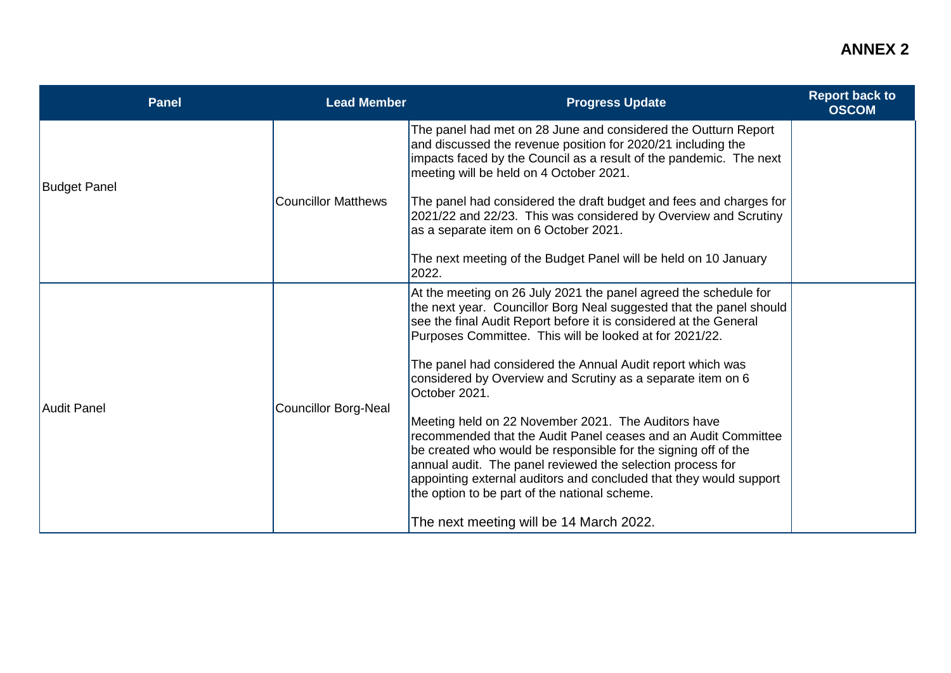## **ANNEX 2**

| The panel had met on 28 June and considered the Outturn Report<br>and discussed the revenue position for 2020/21 including the<br>impacts faced by the Council as a result of the pandemic. The next<br>meeting will be held on 4 October 2021.<br><b>Budget Panel</b><br><b>Councillor Matthews</b><br>The panel had considered the draft budget and fees and charges for<br>2021/22 and 22/23. This was considered by Overview and Scrutiny<br>as a separate item on 6 October 2021.<br>The next meeting of the Budget Panel will be held on 10 January<br>2022.<br>At the meeting on 26 July 2021 the panel agreed the schedule for<br>the next year. Councillor Borg Neal suggested that the panel should<br>see the final Audit Report before it is considered at the General<br>Purposes Committee. This will be looked at for 2021/22.<br>The panel had considered the Annual Audit report which was<br>considered by Overview and Scrutiny as a separate item on 6<br>October 2021.<br>Councillor Borg-Neal<br><b>Audit Panel</b><br>Meeting held on 22 November 2021. The Auditors have<br>recommended that the Audit Panel ceases and an Audit Committee<br>be created who would be responsible for the signing off of the<br>annual audit. The panel reviewed the selection process for<br>appointing external auditors and concluded that they would support | <b>Panel</b> | <b>Lead Member</b> | <b>Progress Update</b>                        | <b>Report back to</b><br><b>OSCOM</b> |
|--------------------------------------------------------------------------------------------------------------------------------------------------------------------------------------------------------------------------------------------------------------------------------------------------------------------------------------------------------------------------------------------------------------------------------------------------------------------------------------------------------------------------------------------------------------------------------------------------------------------------------------------------------------------------------------------------------------------------------------------------------------------------------------------------------------------------------------------------------------------------------------------------------------------------------------------------------------------------------------------------------------------------------------------------------------------------------------------------------------------------------------------------------------------------------------------------------------------------------------------------------------------------------------------------------------------------------------------------------------------------|--------------|--------------------|-----------------------------------------------|---------------------------------------|
|                                                                                                                                                                                                                                                                                                                                                                                                                                                                                                                                                                                                                                                                                                                                                                                                                                                                                                                                                                                                                                                                                                                                                                                                                                                                                                                                                                          |              |                    |                                               |                                       |
|                                                                                                                                                                                                                                                                                                                                                                                                                                                                                                                                                                                                                                                                                                                                                                                                                                                                                                                                                                                                                                                                                                                                                                                                                                                                                                                                                                          |              |                    |                                               |                                       |
| The next meeting will be 14 March 2022.                                                                                                                                                                                                                                                                                                                                                                                                                                                                                                                                                                                                                                                                                                                                                                                                                                                                                                                                                                                                                                                                                                                                                                                                                                                                                                                                  |              |                    | the option to be part of the national scheme. |                                       |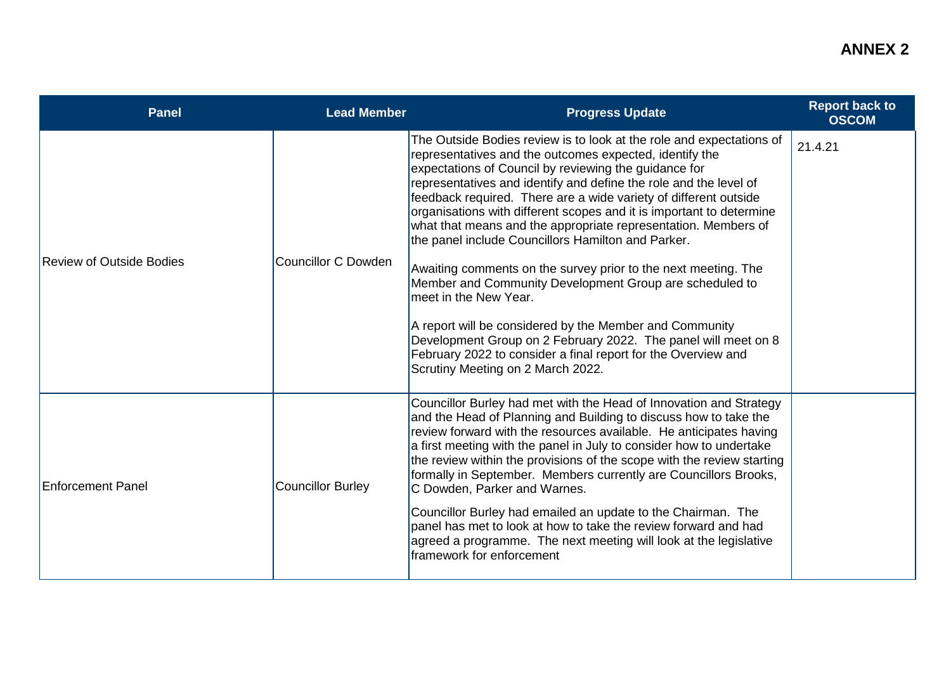| <b>Panel</b>                    | <b>Lead Member</b>         | <b>Progress Update</b>                                                                                                                                                                                                                                                                                                                                                                                                                                                                                                                                                                                                                                                                                                                                                                                                                                                                                                     | <b>Report back to</b><br><b>OSCOM</b> |
|---------------------------------|----------------------------|----------------------------------------------------------------------------------------------------------------------------------------------------------------------------------------------------------------------------------------------------------------------------------------------------------------------------------------------------------------------------------------------------------------------------------------------------------------------------------------------------------------------------------------------------------------------------------------------------------------------------------------------------------------------------------------------------------------------------------------------------------------------------------------------------------------------------------------------------------------------------------------------------------------------------|---------------------------------------|
| <b>Review of Outside Bodies</b> | <b>Councillor C Dowden</b> | The Outside Bodies review is to look at the role and expectations of<br>representatives and the outcomes expected, identify the<br>expectations of Council by reviewing the guidance for<br>representatives and identify and define the role and the level of<br>feedback required. There are a wide variety of different outside<br>organisations with different scopes and it is important to determine<br>what that means and the appropriate representation. Members of<br>the panel include Councillors Hamilton and Parker.<br>Awaiting comments on the survey prior to the next meeting. The<br>Member and Community Development Group are scheduled to<br>meet in the New Year.<br>A report will be considered by the Member and Community<br>Development Group on 2 February 2022. The panel will meet on 8<br>February 2022 to consider a final report for the Overview and<br>Scrutiny Meeting on 2 March 2022. | 21.4.21                               |
| <b>Enforcement Panel</b>        | <b>Councillor Burley</b>   | Councillor Burley had met with the Head of Innovation and Strategy<br>and the Head of Planning and Building to discuss how to take the<br>review forward with the resources available. He anticipates having<br>a first meeting with the panel in July to consider how to undertake<br>the review within the provisions of the scope with the review starting<br>formally in September. Members currently are Councillors Brooks,<br>C Dowden, Parker and Warnes.<br>Councillor Burley had emailed an update to the Chairman. The<br>panel has met to look at how to take the review forward and had<br>agreed a programme. The next meeting will look at the legislative<br>framework for enforcement                                                                                                                                                                                                                     |                                       |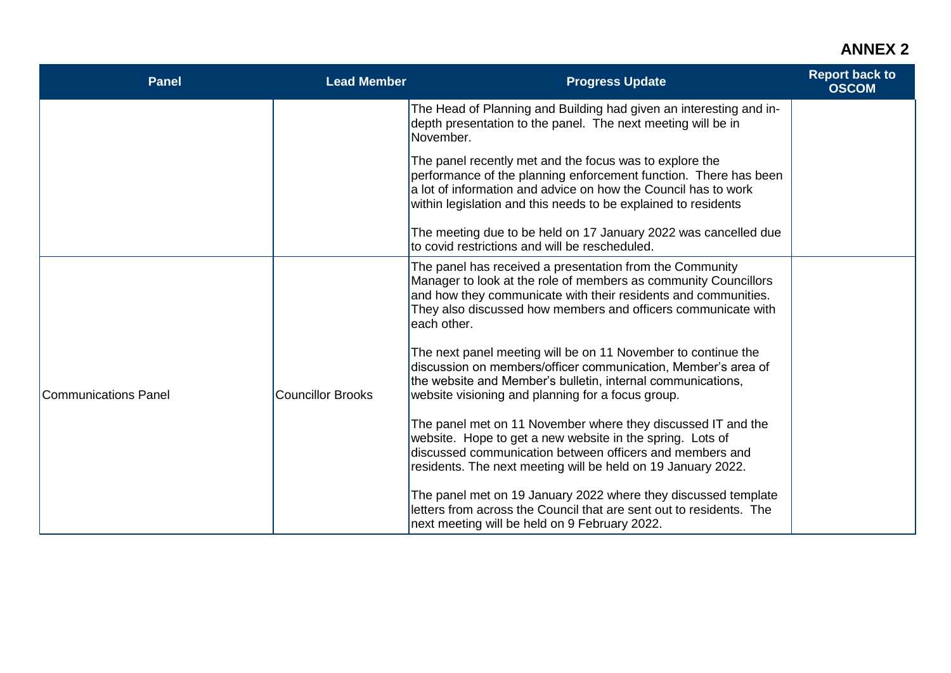## **ANNEX 2**

| <b>Panel</b>                | <b>Lead Member</b>       | <b>Progress Update</b>                                                                                                                                                                                                                                                        | <b>Report back to</b><br><b>OSCOM</b> |
|-----------------------------|--------------------------|-------------------------------------------------------------------------------------------------------------------------------------------------------------------------------------------------------------------------------------------------------------------------------|---------------------------------------|
|                             |                          | The Head of Planning and Building had given an interesting and in-<br>depth presentation to the panel. The next meeting will be in<br>November.                                                                                                                               |                                       |
| <b>Communications Panel</b> |                          | The panel recently met and the focus was to explore the<br>performance of the planning enforcement function. There has been<br>a lot of information and advice on how the Council has to work<br>within legislation and this needs to be explained to residents               |                                       |
|                             |                          | The meeting due to be held on 17 January 2022 was cancelled due<br>to covid restrictions and will be rescheduled.                                                                                                                                                             |                                       |
|                             | <b>Councillor Brooks</b> | The panel has received a presentation from the Community<br>Manager to look at the role of members as community Councillors<br>and how they communicate with their residents and communities.<br>They also discussed how members and officers communicate with<br>each other. |                                       |
|                             |                          | The next panel meeting will be on 11 November to continue the<br>discussion on members/officer communication, Member's area of<br>the website and Member's bulletin, internal communications,<br>website visioning and planning for a focus group.                            |                                       |
|                             |                          | The panel met on 11 November where they discussed IT and the<br>website. Hope to get a new website in the spring. Lots of<br>discussed communication between officers and members and<br>residents. The next meeting will be held on 19 January 2022.                         |                                       |
|                             |                          | The panel met on 19 January 2022 where they discussed template<br>letters from across the Council that are sent out to residents. The<br>next meeting will be held on 9 February 2022.                                                                                        |                                       |